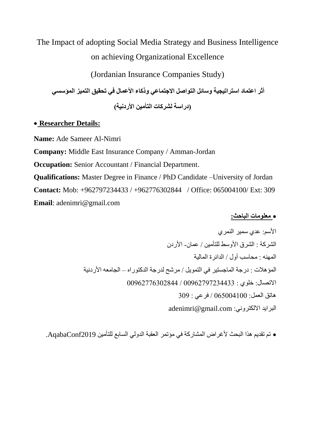# The Impact of adopting Social Media Strategy and Business Intelligence on achieving Organizational Excellence

(Jordanian Insurance Companies Study)

**أثر اعتماد استراتيجية وسائل التواصل االجتماعي وذكاء األعمال في تحقيق التميز المؤسسي** 

**)دراسة لشركات التأمين األردنية(** 

# **Researcher Details:**

**Name:** Ade Sameer Al-Nimri

**Company:** Middle East Insurance Company / Amman-Jordan

**Occupation:** Senior Accountant / Financial Department.

**Qualifications:** Master Degree in Finance / PhD Candidate –University of Jordan **Contact:** Mob: +962797234433 / +962776302844 / Office: 065004100/ Ext: 309 **Email**: [adenimri@gmail.com](mailto:adenimri@gmail.com)

**معلومات الباحث:**

األسم: عدي سمير النمري الشركة : الشرق الأوسط للتأمين / عمان- الأردن المهنه : محاسب أول / الدائرة المالية المؤهالت : درجة الماجستير في التمويل / مرشح لدرجة الدكتوراه – الجامعه األردنية االتصال: خلوي : 33747979709900 / 33747994037999 هاتق العمل: 341339533 / فرعي : 037 [adenimri@gmail.com](mailto:adenimri@gmail.com) :االلكتروني البرايد

تم تقديم هذا البحث ألغراض المشاركة في مؤتمر العقبة الدولي السابع للتأمين 2019AqabaConf.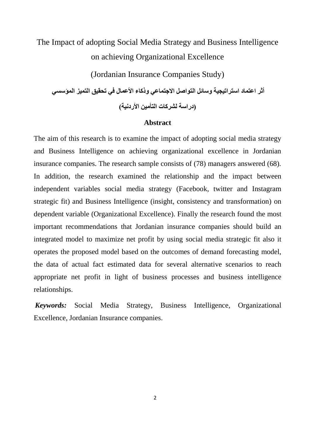# The Impact of adopting Social Media Strategy and Business Intelligence on achieving Organizational Excellence

(Jordanian Insurance Companies Study)

**أثر اعتماد استراتيجية وسائل التواصل االجتماعي وذكاء األعمال في تحقيق التميز المؤسسي** 

**)دراسة لشركات التأمين األردنية(**

#### **Abstract**

The aim of this research is to examine the impact of adopting social media strategy and Business Intelligence on achieving organizational excellence in Jordanian insurance companies. The research sample consists of (78) managers answered (68). In addition, the research examined the relationship and the impact between independent variables social media strategy (Facebook, twitter and Instagram strategic fit) and Business Intelligence (insight, consistency and transformation) on dependent variable (Organizational Excellence). Finally the research found the most important recommendations that Jordanian insurance companies should build an integrated model to maximize net profit by using social media strategic fit also it operates the proposed model based on the outcomes of demand forecasting model, the data of actual fact estimated data for several alternative scenarios to reach appropriate net profit in light of business processes and business intelligence relationships.

 *Keywords:* Social Media Strategy, Business Intelligence, Organizational Excellence, Jordanian Insurance companies.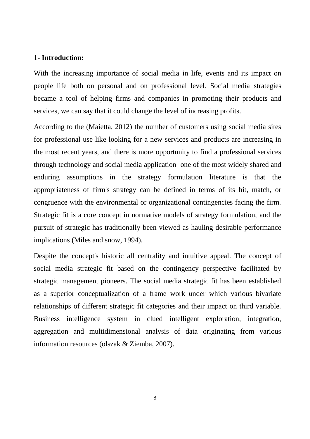#### **1- Introduction:**

With the increasing importance of social media in life, events and its impact on people life both on personal and on professional level. Social media strategies became a tool of helping firms and companies in promoting their products and services, we can say that it could change the level of increasing profits.

According to the (Maietta, 2012) the number of customers using social media sites for professional use like looking for a new services and products are increasing in the most recent years, and there is more opportunity to find a professional services through technology and social media application one of the most widely shared and enduring assumptions in the strategy formulation literature is that the appropriateness of firm's strategy can be defined in terms of its hit, match, or congruence with the environmental or organizational contingencies facing the firm. Strategic fit is a core concept in normative models of strategy formulation, and the pursuit of strategic has traditionally been viewed as hauling desirable performance implications (Miles and snow, 1994).

Despite the concept's historic all centrality and intuitive appeal. The concept of social media strategic fit based on the contingency perspective facilitated by strategic management pioneers. The social media strategic fit has been established as a superior conceptualization of a frame work under which various bivariate relationships of different strategic fit categories and their impact on third variable. Business intelligence system in clued intelligent exploration, integration, aggregation and multidimensional analysis of data originating from various information resources (olszak & Ziemba, 2007).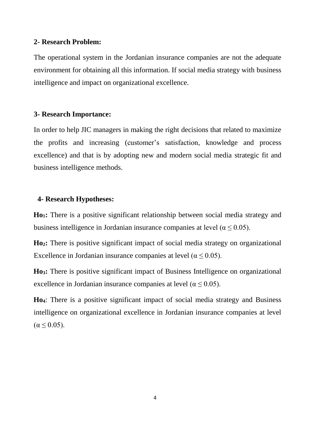#### **2- Research Problem:**

The operational system in the Jordanian insurance companies are not the adequate environment for obtaining all this information. If social media strategy with business intelligence and impact on organizational excellence.

#### **3- Research Importance:**

In order to help JIC managers in making the right decisions that related to maximize the profits and increasing (customer's satisfaction, knowledge and process excellence) and that is by adopting new and modern social media strategic fit and business intelligence methods.

#### **4- Research Hypotheses:**

 **Ho1:** There is a positive significant relationship between social media strategy and business intelligence in Jordanian insurance companies at level ( $\alpha \le 0.05$ ).

 **Ho2:** There is positive significant impact of social media strategy on organizational Excellence in Jordanian insurance companies at level ( $\alpha \leq 0.05$ ).

 **Ho3:** There is positive significant impact of Business Intelligence on organizational excellence in Jordanian insurance companies at level ( $\alpha \leq 0.05$ ).

 **Ho4**: There is a positive significant impact of social media strategy and Business intelligence on organizational excellence in Jordanian insurance companies at level  $(\alpha \leq 0.05)$ .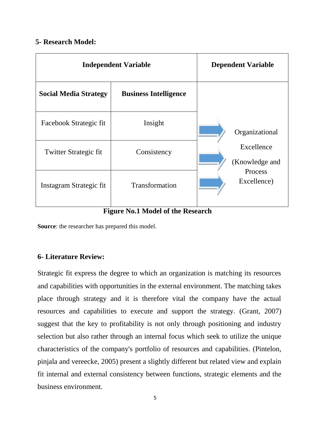# **5- Research Model:**

| <b>Independent Variable</b>  | <b>Dependent Variable</b>    |                              |
|------------------------------|------------------------------|------------------------------|
| <b>Social Media Strategy</b> | <b>Business Intelligence</b> |                              |
| Facebook Strategic fit       | Insight                      | Organizational               |
| <b>Twitter Strategic fit</b> | Consistency                  | Excellence<br>(Knowledge and |
| Instagram Strategic fit      | Transformation               | Process<br>Excellence)       |

## **Figure No.1 Model of the Research**

**Source**: the researcher has prepared this model.

# **6- Literature Review:**

Strategic fit express the degree to which an organization is matching its resources and capabilities with opportunities in the external environment. The matching takes place through strategy and it is therefore vital the company have the actual resources and capabilities to execute and support the strategy. (Grant, 2007) suggest that the key to profitability is not only through positioning and industry selection but also rather through an internal focus which seek to utilize the unique characteristics of the company's portfolio of resources and capabilities. (Pintelon, pinjala and vereecke, 2005) present a slightly different but related view and explain fit internal and external consistency between functions, strategic elements and the business environment.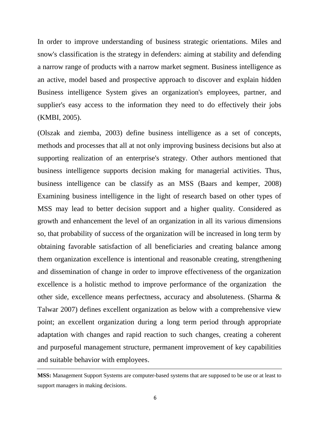In order to improve understanding of business strategic orientations. Miles and snow's classification is the strategy in defenders: aiming at stability and defending a narrow range of products with a narrow market segment. Business intelligence as an active, model based and prospective approach to discover and explain hidden Business intelligence System gives an organization's employees, partner, and supplier's easy access to the information they need to do effectively their jobs (KMBI, 2005).

(Olszak and ziemba, 2003) define business intelligence as a set of concepts, methods and processes that all at not only improving business decisions but also at supporting realization of an enterprise's strategy. Other authors mentioned that business intelligence supports decision making for managerial activities. Thus, business intelligence can be classify as an MSS (Baars and kemper, 2008) Examining business intelligence in the light of research based on other types of MSS may lead to better decision support and a higher quality. Considered as growth and enhancement the level of an organization in all its various dimensions so, that probability of success of the organization will be increased in long term by obtaining favorable satisfaction of all beneficiaries and creating balance among them organization excellence is intentional and reasonable creating, strengthening and dissemination of change in order to improve effectiveness of the organization excellence is a holistic method to improve performance of the organization the other side, excellence means perfectness, accuracy and absoluteness. (Sharma & Talwar 2007) defines excellent organization as below with a comprehensive view point; an excellent organization during a long term period through appropriate adaptation with changes and rapid reaction to such changes, creating a coherent and purposeful management structure, permanent improvement of key capabilities and suitable behavior with employees.

**MSS:** Management Support Systems are computer-based systems that are supposed to be use or at least to support managers in making decisions.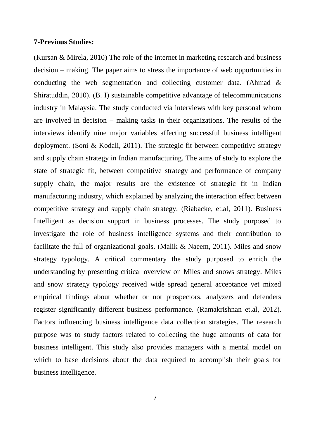#### **7-Previous Studies:**

(Kursan & Mirela, 2010) The role of the internet in marketing research and business decision – making. The paper aims to stress the importance of web opportunities in conducting the web segmentation and collecting customer data. (Ahmad & Shiratuddin, 2010). (B. I) sustainable competitive advantage of telecommunications industry in Malaysia. The study conducted via interviews with key personal whom are involved in decision – making tasks in their organizations. The results of the interviews identify nine major variables affecting successful business intelligent deployment. (Soni & Kodali, 2011). The strategic fit between competitive strategy and supply chain strategy in Indian manufacturing. The aims of study to explore the state of strategic fit, between competitive strategy and performance of company supply chain, the major results are the existence of strategic fit in Indian manufacturing industry, which explained by analyzing the interaction effect between competitive strategy and supply chain strategy. (Riabacke, et.al, 2011). Business Intelligent as decision support in business processes. The study purposed to investigate the role of business intelligence systems and their contribution to facilitate the full of organizational goals. (Malik & Naeem, 2011). Miles and snow strategy typology. A critical commentary the study purposed to enrich the understanding by presenting critical overview on Miles and snows strategy. Miles and snow strategy typology received wide spread general acceptance yet mixed empirical findings about whether or not prospectors, analyzers and defenders register significantly different business performance. (Ramakrishnan et.al, 2012). Factors influencing business intelligence data collection strategies. The research purpose was to study factors related to collecting the huge amounts of data for business intelligent. This study also provides managers with a mental model on which to base decisions about the data required to accomplish their goals for business intelligence.

7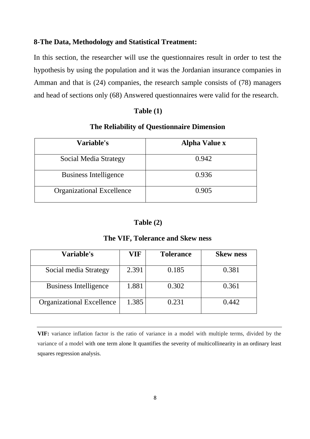### **8-The Data, Methodology and Statistical Treatment:**

In this section, the researcher will use the questionnaires result in order to test the hypothesis by using the population and it was the Jordanian insurance companies in Amman and that is (24) companies, the research sample consists of (78) managers and head of sections only (68) Answered questionnaires were valid for the research.

#### **Table (1)**

## **The Reliability of Questionnaire Dimension**

| <b>Variable's</b>                | <b>Alpha Value x</b> |
|----------------------------------|----------------------|
| Social Media Strategy            | 0.942                |
| <b>Business Intelligence</b>     | 0.936                |
| <b>Organizational Excellence</b> | 0.905                |

#### **Table (2)**

#### **The VIF, Tolerance and Skew ness**

| <b>Variable's</b>                | VIF   | <b>Tolerance</b> | <b>Skew ness</b> |
|----------------------------------|-------|------------------|------------------|
| Social media Strategy            | 2.391 | 0.185            | 0.381            |
| <b>Business Intelligence</b>     | 1.881 | 0.302            | 0.361            |
| <b>Organizational Excellence</b> | 1.385 | 0.231            | 0.442            |

**VIF:** variance inflation factor is the ratio of variance in a model with multiple terms, divided by the variance of a model with one term alone It quantifies the severity of [multicollinearity](https://en.wikipedia.org/wiki/Multicollinearity) in an [ordinary least](https://en.wikipedia.org/wiki/Ordinary_least_squares)  [squares](https://en.wikipedia.org/wiki/Ordinary_least_squares) [regression](https://en.wikipedia.org/wiki/Linear_regression) analysis.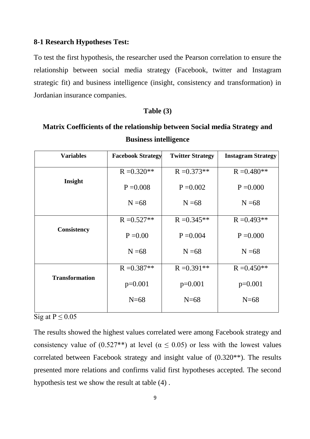#### **8-1 Research Hypotheses Test:**

To test the first hypothesis, the researcher used the Pearson correlation to ensure the relationship between social media strategy (Facebook, twitter and Instagram strategic fit) and business intelligence (insight, consistency and transformation) in Jordanian insurance companies.

#### **Table (3)**

# **Matrix Coefficients of the relationship between Social media Strategy and Business intelligence**

| <b>Variables</b>      | <b>Facebook Strategy</b> | <b>Twitter Strategy</b> | <b>Instagram Strategy</b> |  |
|-----------------------|--------------------------|-------------------------|---------------------------|--|
|                       | $R = 0.320**$            | $R = 0.373**$           | $R = 0.480**$             |  |
| Insight               | $P = 0.008$              | $P = 0.002$             | $P = 0.000$               |  |
|                       | $N = 68$                 | $N = 68$                | $N = 68$                  |  |
|                       | $R = 0.527**$            | $R = 0.345**$           | $R = 0.493**$             |  |
| <b>Consistency</b>    | $P = 0.00$               | $P = 0.004$             | $P = 0.000$               |  |
|                       | $N = 68$                 | $N = 68$                | $N = 68$                  |  |
|                       | $R = 0.387**$            | $R = 0.391**$           | $R = 0.450**$             |  |
| <b>Transformation</b> | $p=0.001$                | $p=0.001$               | $p=0.001$                 |  |
|                       | $N=68$                   | $N=68$                  | $N=68$                    |  |

#### Sig at  $P \le 0.05$

The results showed the highest values correlated were among Facebook strategy and consistency value of (0.527<sup>\*\*</sup>) at level ( $\alpha \le 0.05$ ) or less with the lowest values correlated between Facebook strategy and insight value of (0.320\*\*). The results presented more relations and confirms valid first hypotheses accepted. The second hypothesis test we show the result at table (4) .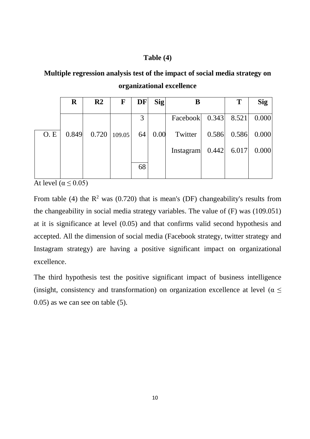#### **Table (4)**

**Multiple regression analysis test of the impact of social media strategy on organizational excellence**

|     | $\bf R$ | $\mathbf{R}2$ | F                | DF | $\textbf{Sig}$ | B                    |       | T             | <b>Sig</b> |
|-----|---------|---------------|------------------|----|----------------|----------------------|-------|---------------|------------|
|     |         |               |                  | 3  |                | Facebook 0.343 8.521 |       |               | 0.000      |
| O.E | 0.849   |               | $0.720$   109.05 | 64 | 0.00           | Twitter              | 0.586 | 0.586         | 0.000      |
|     |         |               |                  |    |                | Instagram            |       | $0.442$ 6.017 | 0.000      |
|     |         |               |                  | 68 |                |                      |       |               |            |

At level ( $\alpha \leq 0.05$ )

From table (4) the  $\mathbb{R}^2$  was (0.720) that is mean's (DF) changeability's results from the changeability in social media strategy variables. The value of (F) was (109.051) at it is significance at level (0.05) and that confirms valid second hypothesis and accepted. All the dimension of social media (Facebook strategy, twitter strategy and Instagram strategy) are having a positive significant impact on organizational excellence.

The third hypothesis test the positive significant impact of business intelligence (insight, consistency and transformation) on organization excellence at level ( $\alpha \leq$ 0.05) as we can see on table (5).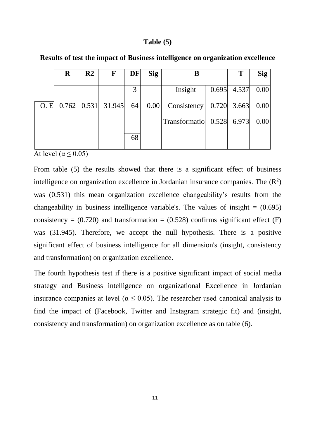#### **Table (5)**

|     | $\bf R$ | R <sub>2</sub> | $\mathbf{F}$         | <b>DF</b> | <b>Sig</b> |                                  | T             | <b>Sig</b> |
|-----|---------|----------------|----------------------|-----------|------------|----------------------------------|---------------|------------|
|     |         |                |                      | 3         |            | Insight                          | $0.695$ 4.537 | 0.00       |
| O.E |         |                | $0.762$ 0.531 31.945 | 64        | 0.00       | Consistency $0.720$ 3.663 $0.00$ |               |            |
|     |         |                |                      |           |            | Transformatio 0.528 6.973        |               | 0.00       |
|     |         |                |                      | 68        |            |                                  |               |            |

**Results of test the impact of Business intelligence on organization excellence**

At level ( $\alpha \le 0.05$ )

From table (5) the results showed that there is a significant effect of business intelligence on organization excellence in Jordanian insurance companies. The  $(R^2)$ was (0.531) this mean organization excellence changeability's results from the changeability in business intelligence variable's. The values of insight  $= (0.695)$ consistency =  $(0.720)$  and transformation =  $(0.528)$  confirms significant effect  $(F)$ was (31.945). Therefore, we accept the null hypothesis. There is a positive significant effect of business intelligence for all dimension's (insight, consistency and transformation) on organization excellence.

The fourth hypothesis test if there is a positive significant impact of social media strategy and Business intelligence on organizational Excellence in Jordanian insurance companies at level ( $\alpha \leq 0.05$ ). The researcher used canonical analysis to find the impact of (Facebook, Twitter and Instagram strategic fit) and (insight, consistency and transformation) on organization excellence as on table (6).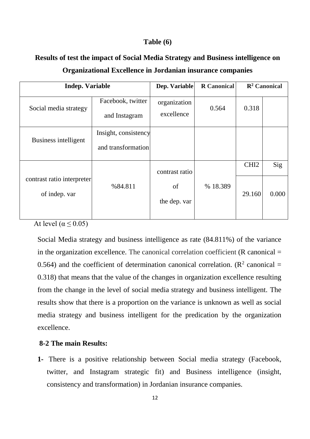#### **Table (6)**

# **Results of test the impact of Social Media Strategy and Business intelligence on Organizational Excellence in Jordanian insurance companies**

| <b>Indep. Variable</b>                              | Dep. Variable                              | <b>R</b> Canonical         |          | $\mathbb{R}^2$ Canonical |       |
|-----------------------------------------------------|--------------------------------------------|----------------------------|----------|--------------------------|-------|
| Social media strategy                               | Facebook, twitter<br>and Instagram         | organization<br>excellence | 0.564    | 0.318                    |       |
| Business intelligent                                | Insight, consistency<br>and transformation |                            |          |                          |       |
|                                                     |                                            | contrast ratio             |          | CHI <sub>2</sub>         | Sig   |
| contrast ratio interpreter<br>of indep. var<br>$ -$ | %84.811                                    | of<br>the dep. var         | % 18.389 | 29.160                   | 0.000 |

At level ( $\alpha \leq 0.05$ )

Social Media strategy and business intelligence as rate (84.811%) of the variance in the organization excellence. The canonical correlation coefficient  $(R \text{ canonical} =$ 0.564) and the coefficient of determination canonical correlation. ( $\mathbb{R}^2$  canonical = 0.318) that means that the value of the changes in organization excellence resulting from the change in the level of social media strategy and business intelligent. The results show that there is a proportion on the variance is unknown as well as social media strategy and business intelligent for the predication by the organization excellence.

### **8-2 The main Results:**

**1-** There is a positive relationship between Social media strategy (Facebook, twitter, and Instagram strategic fit) and Business intelligence (insight, consistency and transformation) in Jordanian insurance companies.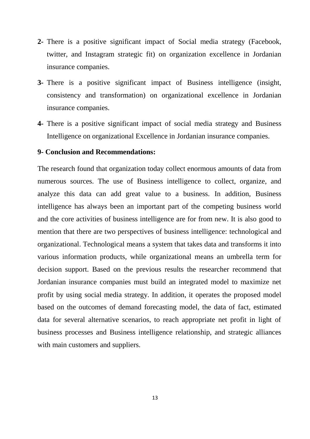- **2-** There is a positive significant impact of Social media strategy (Facebook, twitter, and Instagram strategic fit) on organization excellence in Jordanian insurance companies.
- **3-** There is a positive significant impact of Business intelligence (insight, consistency and transformation) on organizational excellence in Jordanian insurance companies.
- **4-** There is a positive significant impact of social media strategy and Business Intelligence on organizational Excellence in Jordanian insurance companies.

#### **9- Conclusion and Recommendations:**

The research found that organization today collect enormous amounts of data from numerous sources. The use of Business intelligence to collect, organize, and analyze this data can add great value to a business. In addition, Business intelligence has always been an important part of the competing business world and the core activities of business intelligence are for from new. It is also good to mention that there are two perspectives of business intelligence: technological and organizational. Technological means a system that takes data and transforms it into various information products, while organizational means an umbrella term for decision support. Based on the previous results the researcher recommend that Jordanian insurance companies must build an integrated model to maximize net profit by using social media strategy. In addition, it operates the proposed model based on the outcomes of demand forecasting model, the data of fact, estimated data for several alternative scenarios, to reach appropriate net profit in light of business processes and Business intelligence relationship, and strategic alliances with main customers and suppliers.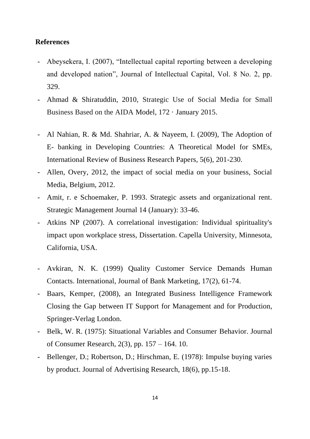#### **References**

- Abeysekera, I. (2007), "Intellectual capital reporting between a developing and developed nation", Journal of Intellectual Capital, Vol. 8 No. 2, pp. 329.
- Ahmad & Shiratuddin, 2010, Strategic Use of Social Media for Small Business Based on the AIDA Model, 172 · January 2015.
- Al Nahian, R. & Md. Shahriar, A. & Nayeem, I. (2009), The Adoption of E- banking in Developing Countries: A Theoretical Model for SMEs, International Review of Business Research Papers, 5(6), 201-230.
- Allen, Overy, 2012, the impact of social media on your business, Social Media, Belgium, 2012.
- Amit, r. e Schoemaker, P. 1993. Strategic assets and organizational rent. Strategic Management Journal 14 (January): 33-46.
- Atkins NP (2007). A correlational investigation: Individual spirituality's impact upon workplace stress, Dissertation. Capella University, Minnesota, California, USA.
- Avkiran, N. K. (1999) Quality Customer Service Demands Human Contacts. International, Journal of Bank Marketing, 17(2), 61-74.
- Baars, Kemper, (2008), an Integrated Business Intelligence Framework Closing the Gap between IT Support for Management and for Production, Springer-Verlag London.
- Belk, W. R. (1975): Situational Variables and Consumer Behavior. Journal of Consumer Research, 2(3), pp. 157 – 164. 10.
- Bellenger, D.; Robertson, D.; Hirschman, E. (1978): Impulse buying varies by product. Journal of Advertising Research, 18(6), pp.15-18.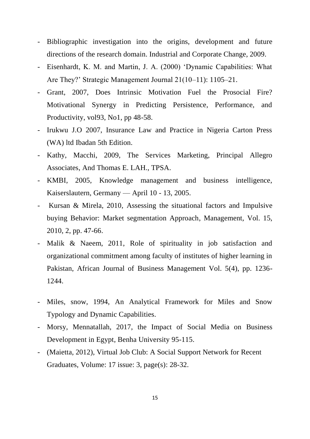- Bibliographic investigation into the origins, development and future directions of the research domain. Industrial and Corporate Change, 2009.
- Eisenhardt, K. M. and Martin, J. A. (2000) 'Dynamic Capabilities: What Are They?' Strategic Management Journal 21(10–11): 1105–21.
- Grant, 2007, Does Intrinsic Motivation Fuel the Prosocial Fire? Motivational Synergy in Predicting Persistence, Performance, and Productivity, vol93, No1, pp 48-58.
- Irukwu J.O 2007, Insurance Law and Practice in Nigeria Carton Press (WA) ltd Ibadan 5th Edition.
- Kathy, Macchi, 2009, The Services Marketing, Principal Allegro Associates, And Thomas E. LAH., TPSA.
- KMBI, 2005, Knowledge management and business intelligence, Kaiserslautern, Germany — April 10 - 13, 2005.
- Kursan & Mirela, 2010, Assessing the situational factors and Impulsive buying Behavior: Market segmentation Approach, Management, Vol. 15, 2010, 2, pp. 47-66.
- Malik & Naeem, 2011, Role of spirituality in job satisfaction and organizational commitment among faculty of institutes of higher learning in Pakistan, African Journal of Business Management Vol. 5(4), pp. 1236- 1244.
- Miles, snow, 1994, An Analytical Framework for Miles and Snow Typology and Dynamic Capabilities.
- [Morsy,](https://www.researchgate.net/profile/Mennatallah_Morsy) Mennatallah, 2017, the Impact of Social Media on Business Development in Egypt, Benha [University](https://www.researchgate.net/institution/Benha_University2) 95-115.
- (Maietta, 2012), Virtual Job Club: A Social Support Network for Recent Graduates, Volume: 17 issue: 3, page(s): 28-32.